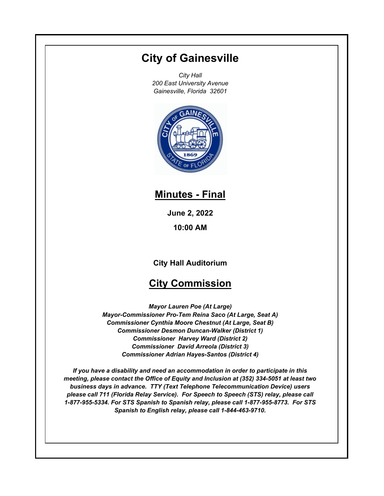# **City of Gainesville**

*City Hall 200 East University Avenue Gainesville, Florida 32601*



## **Minutes - Final**

**June 2, 2022 10:00 AM**

**City Hall Auditorium**

## **City Commission**

*Mayor Lauren Poe (At Large) Mayor-Commissioner Pro-Tem Reina Saco (At Large, Seat A) Commissioner Cynthia Moore Chestnut (At Large, Seat B) Commissioner Desmon Duncan-Walker (District 1) Commissioner Harvey Ward (District 2) Commissioner David Arreola (District 3) Commissioner Adrian Hayes-Santos (District 4)*

*If you have a disability and need an accommodation in order to participate in this meeting, please contact the Office of Equity and Inclusion at (352) 334-5051 at least two business days in advance. TTY (Text Telephone Telecommunication Device) users please call 711 (Florida Relay Service). For Speech to Speech (STS) relay, please call 1-877-955-5334. For STS Spanish to Spanish relay, please call 1-877-955-8773. For STS Spanish to English relay, please call 1-844-463-9710.*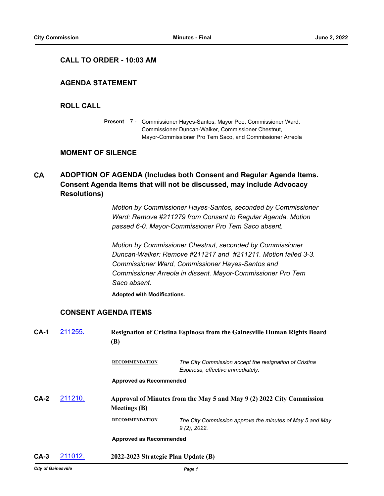#### **CALL TO ORDER - 10:03 AM**

## **AGENDA STATEMENT**

### **ROLL CALL**

Present 7 - Commissioner Hayes-Santos, Mayor Poe, Commissioner Ward, Commissioner Duncan-Walker, Commissioner Chestnut, Mayor-Commissioner Pro Tem Saco, and Commissioner Arreola

## **MOMENT OF SILENCE**

#### **ADOPTION OF AGENDA (Includes both Consent and Regular Agenda Items. Consent Agenda Items that will not be discussed, may include Advocacy Resolutions) CA**

*Motion by Commissioner Hayes-Santos, seconded by Commissioner Ward: Remove #211279 from Consent to Regular Agenda. Motion passed 6-0. Mayor-Commissioner Pro Tem Saco absent.*

*Motion by Commissioner Chestnut, seconded by Commissioner Duncan-Walker: Remove #211217 and #211211. Motion failed 3-3. Commissioner Ward, Commissioner Hayes-Santos and Commissioner Arreola in dissent. Mayor-Commissioner Pro Tem Saco absent.*

**Adopted with Modifications.**

## **CONSENT AGENDA ITEMS**

| $CA-1$ | 211255. | <b>Resignation of Cristina Espinosa from the Gainesville Human Rights Board</b><br><b>(B)</b> |                                                                                            |  |  |
|--------|---------|-----------------------------------------------------------------------------------------------|--------------------------------------------------------------------------------------------|--|--|
|        |         | <b>RECOMMENDATION</b>                                                                         | The City Commission accept the resignation of Cristina<br>Espinosa, effective immediately. |  |  |
|        |         | Approved as Recommended                                                                       |                                                                                            |  |  |
| $CA-2$ | 211210. | Approval of Minutes from the May 5 and May 9 (2) 2022 City Commission<br><b>Meetings</b> (B)  |                                                                                            |  |  |
|        |         | <b>RECOMMENDATION</b>                                                                         | The City Commission approve the minutes of May 5 and May<br>$9(2)$ , 2022.                 |  |  |
|        |         | <b>Approved as Recommended</b>                                                                |                                                                                            |  |  |
| $CA-3$ | 211012. | 2022-2023 Strategic Plan Update (B)                                                           |                                                                                            |  |  |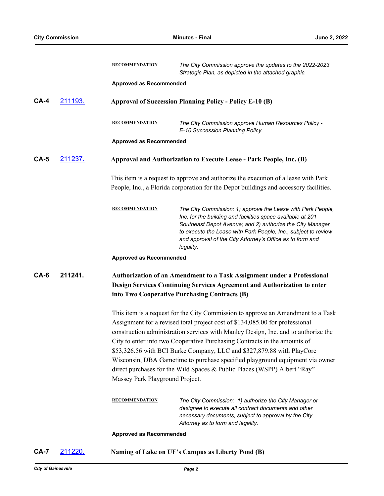|        |         | <b>RECOMMENDATION</b>                                                                                                                                                                                                                                                                                                                                                                                                                                                                                                                                                                                        | The City Commission approve the updates to the 2022-2023<br>Strategic Plan, as depicted in the attached graphic.                                                                                                                                                                                                                    |  |  |
|--------|---------|--------------------------------------------------------------------------------------------------------------------------------------------------------------------------------------------------------------------------------------------------------------------------------------------------------------------------------------------------------------------------------------------------------------------------------------------------------------------------------------------------------------------------------------------------------------------------------------------------------------|-------------------------------------------------------------------------------------------------------------------------------------------------------------------------------------------------------------------------------------------------------------------------------------------------------------------------------------|--|--|
|        |         | <b>Approved as Recommended</b>                                                                                                                                                                                                                                                                                                                                                                                                                                                                                                                                                                               |                                                                                                                                                                                                                                                                                                                                     |  |  |
| $CA-4$ | 211193. | <b>Approval of Succession Planning Policy - Policy E-10 (B)</b>                                                                                                                                                                                                                                                                                                                                                                                                                                                                                                                                              |                                                                                                                                                                                                                                                                                                                                     |  |  |
|        |         | <b>RECOMMENDATION</b>                                                                                                                                                                                                                                                                                                                                                                                                                                                                                                                                                                                        | The City Commission approve Human Resources Policy -<br>E-10 Succession Planning Policy.                                                                                                                                                                                                                                            |  |  |
|        |         | <b>Approved as Recommended</b>                                                                                                                                                                                                                                                                                                                                                                                                                                                                                                                                                                               |                                                                                                                                                                                                                                                                                                                                     |  |  |
| $CA-5$ | 211237. | Approval and Authorization to Execute Lease - Park People, Inc. (B)                                                                                                                                                                                                                                                                                                                                                                                                                                                                                                                                          |                                                                                                                                                                                                                                                                                                                                     |  |  |
|        |         |                                                                                                                                                                                                                                                                                                                                                                                                                                                                                                                                                                                                              | This item is a request to approve and authorize the execution of a lease with Park<br>People, Inc., a Florida corporation for the Depot buildings and accessory facilities.                                                                                                                                                         |  |  |
|        |         | <b>RECOMMENDATION</b>                                                                                                                                                                                                                                                                                                                                                                                                                                                                                                                                                                                        | The City Commission: 1) approve the Lease with Park People,<br>Inc. for the building and facilities space available at 201<br>Southeast Depot Avenue; and 2) authorize the City Manager<br>to execute the Lease with Park People, Inc., subject to review<br>and approval of the City Attorney's Office as to form and<br>legality. |  |  |
|        |         | <b>Approved as Recommended</b>                                                                                                                                                                                                                                                                                                                                                                                                                                                                                                                                                                               |                                                                                                                                                                                                                                                                                                                                     |  |  |
| $CA-6$ | 211241. |                                                                                                                                                                                                                                                                                                                                                                                                                                                                                                                                                                                                              | Authorization of an Amendment to a Task Assignment under a Professional<br>Design Services Continuing Services Agreement and Authorization to enter<br>into Two Cooperative Purchasing Contracts (B)                                                                                                                                |  |  |
|        |         | This item is a request for the City Commission to approve an Amendment to a Task<br>Assignment for a revised total project cost of \$134,085.00 for professional<br>construction administration services with Manley Design, Inc. and to authorize the<br>City to enter into two Cooperative Purchasing Contracts in the amounts of<br>\$53,326.56 with BCI Burke Company, LLC and \$327,879.88 with PlayCore<br>Wisconsin, DBA Gametime to purchase specified playground equipment via owner<br>direct purchases for the Wild Spaces & Public Places (WSPP) Albert "Ray"<br>Massey Park Playground Project. |                                                                                                                                                                                                                                                                                                                                     |  |  |
|        |         | <b>RECOMMENDATION</b>                                                                                                                                                                                                                                                                                                                                                                                                                                                                                                                                                                                        | The City Commission: 1) authorize the City Manager or<br>designee to execute all contract documents and other<br>necessary documents, subject to approval by the City<br>Attorney as to form and legality.                                                                                                                          |  |  |
|        |         | <b>Approved as Recommended</b>                                                                                                                                                                                                                                                                                                                                                                                                                                                                                                                                                                               |                                                                                                                                                                                                                                                                                                                                     |  |  |
| $CA-7$ | 211220. |                                                                                                                                                                                                                                                                                                                                                                                                                                                                                                                                                                                                              | Naming of Lake on UF's Campus as Liberty Pond (B)                                                                                                                                                                                                                                                                                   |  |  |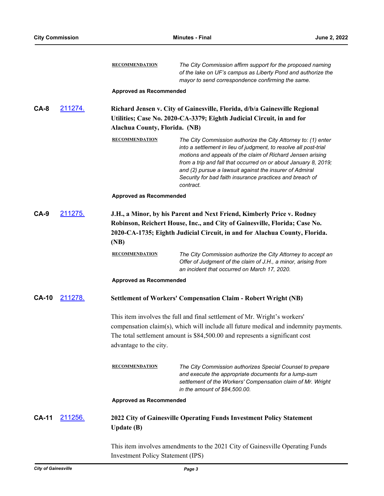|                                          |         | <b>RECOMMENDATION</b>                                                                                                                                                                                                                      | The City Commission affirm support for the proposed naming<br>of the lake on UF's campus as Liberty Pond and authorize the<br>mayor to send correspondence confirming the same.                                                                                                                                                                                                                        |  |  |
|------------------------------------------|---------|--------------------------------------------------------------------------------------------------------------------------------------------------------------------------------------------------------------------------------------------|--------------------------------------------------------------------------------------------------------------------------------------------------------------------------------------------------------------------------------------------------------------------------------------------------------------------------------------------------------------------------------------------------------|--|--|
|                                          |         | <b>Approved as Recommended</b>                                                                                                                                                                                                             |                                                                                                                                                                                                                                                                                                                                                                                                        |  |  |
| $CA-8$                                   | 211274. | Richard Jensen v. City of Gainesville, Florida, d/b/a Gainesville Regional<br>Utilities; Case No. 2020-CA-3379; Eighth Judicial Circuit, in and for<br>Alachua County, Florida. (NB)                                                       |                                                                                                                                                                                                                                                                                                                                                                                                        |  |  |
|                                          |         | <b>RECOMMENDATION</b>                                                                                                                                                                                                                      | The City Commission authorize the City Attorney to: (1) enter<br>into a settlement in lieu of judgment, to resolve all post-trial<br>motions and appeals of the claim of Richard Jensen arising<br>from a trip and fall that occurred on or about January 8, 2019;<br>and (2) pursue a lawsuit against the insurer of Admiral<br>Security for bad faith insurance practices and breach of<br>contract. |  |  |
|                                          |         | <b>Approved as Recommended</b>                                                                                                                                                                                                             |                                                                                                                                                                                                                                                                                                                                                                                                        |  |  |
| $CA-9$                                   | 211275. | J.H., a Minor, by his Parent and Next Friend, Kimberly Price v. Rodney<br>Robinson, Reichert House, Inc., and City of Gainesville, Florida; Case No.<br>2020-CA-1735; Eighth Judicial Circuit, in and for Alachua County, Florida.<br>(NB) |                                                                                                                                                                                                                                                                                                                                                                                                        |  |  |
|                                          |         | <b>RECOMMENDATION</b>                                                                                                                                                                                                                      | The City Commission authorize the City Attorney to accept an<br>Offer of Judgment of the claim of J.H., a minor, arising from<br>an incident that occurred on March 17, 2020.                                                                                                                                                                                                                          |  |  |
|                                          |         | <b>Approved as Recommended</b>                                                                                                                                                                                                             |                                                                                                                                                                                                                                                                                                                                                                                                        |  |  |
| <b>CA-10</b>                             | 211278. |                                                                                                                                                                                                                                            | Settlement of Workers' Compensation Claim - Robert Wright (NB)                                                                                                                                                                                                                                                                                                                                         |  |  |
|                                          |         | This item involves the full and final settlement of Mr. Wright's workers'                                                                                                                                                                  |                                                                                                                                                                                                                                                                                                                                                                                                        |  |  |
|                                          |         |                                                                                                                                                                                                                                            | compensation claim(s), which will include all future medical and indemnity payments.                                                                                                                                                                                                                                                                                                                   |  |  |
|                                          |         | The total settlement amount is \$84,500.00 and represents a significant cost<br>advantage to the city.                                                                                                                                     |                                                                                                                                                                                                                                                                                                                                                                                                        |  |  |
|                                          |         | <b>RECOMMENDATION</b>                                                                                                                                                                                                                      | The City Commission authorizes Special Counsel to prepare<br>and execute the appropriate documents for a lump-sum<br>settlement of the Workers' Compensation claim of Mr. Wright<br>in the amount of \$84,500.00.                                                                                                                                                                                      |  |  |
|                                          |         | <b>Approved as Recommended</b>                                                                                                                                                                                                             |                                                                                                                                                                                                                                                                                                                                                                                                        |  |  |
| <b>CA-11</b>                             | 211256. | <b>Update</b> (B)                                                                                                                                                                                                                          | 2022 City of Gainesville Operating Funds Investment Policy Statement                                                                                                                                                                                                                                                                                                                                   |  |  |
| <b>Investment Policy Statement (IPS)</b> |         |                                                                                                                                                                                                                                            | This item involves amendments to the 2021 City of Gainesville Operating Funds                                                                                                                                                                                                                                                                                                                          |  |  |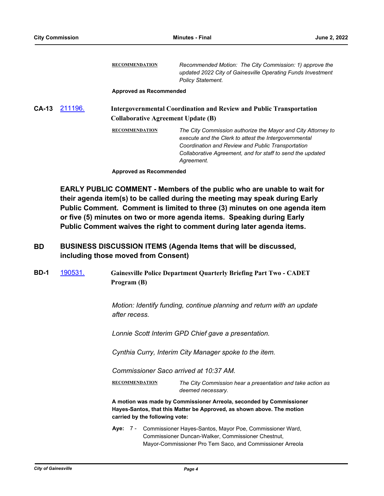**RECOMMENDATION** *Recommended Motion: The City Commission: 1) approve the updated 2022 City of Gainesville Operating Funds Investment Policy Statement.* **Approved as Recommended CA-13** [211196.](http://gainesville.legistar.com/gateway.aspx?m=l&id=/matter.aspx?key=33978) **Intergovernmental Coordination and Review and Public Transportation Collaborative Agreement Update (B) RECOMMENDATION** *The City Commission authorize the Mayor and City Attorney to execute and the Clerk to attest the Intergovernmental Coordination and Review and Public Transportation Collaborative Agreement, and for staff to send the updated Agreement.*

**Approved as Recommended**

**EARLY PUBLIC COMMENT - Members of the public who are unable to wait for their agenda item(s) to be called during the meeting may speak during Early Public Comment. Comment is limited to three (3) minutes on one agenda item or five (5) minutes on two or more agenda items. Speaking during Early Public Comment waives the right to comment during later agenda items.**

#### **BUSINESS DISCUSSION ITEMS (Agenda Items that will be discussed, including those moved from Consent) BD**

**BD-1** [190531.](http://gainesville.legistar.com/gateway.aspx?m=l&id=/matter.aspx?key=30812) **Gainesville Police Department Quarterly Briefing Part Two - CADET Program (B)**

> *Motion: Identify funding, continue planning and return with an update after recess.*

*Lonnie Scott Interim GPD Chief gave a presentation.*

*Cynthia Curry, Interim City Manager spoke to the item.*

*Commissioner Saco arrived at 10:37 AM.*

**RECOMMENDATION** *The City Commission hear a presentation and take action as deemed necessary.*

**A motion was made by Commissioner Arreola, seconded by Commissioner Hayes-Santos, that this Matter be Approved, as shown above. The motion carried by the following vote:**

Aye: 7 - Commissioner Hayes-Santos, Mayor Poe, Commissioner Ward, Commissioner Duncan-Walker, Commissioner Chestnut, Mayor-Commissioner Pro Tem Saco, and Commissioner Arreola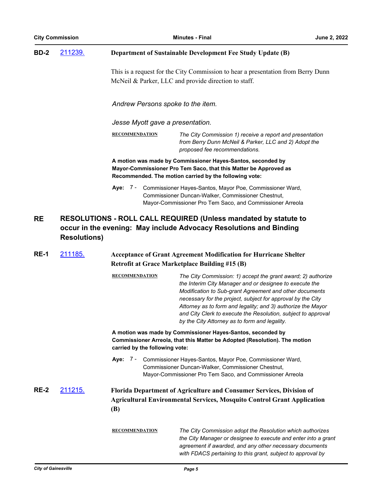| <b>City Commission</b> |                     |                                                                                                                                                                                      | June 2, 2022                                                                                                                                                                                                                                                                                                                                                                                                                        |  |  |  |  |
|------------------------|---------------------|--------------------------------------------------------------------------------------------------------------------------------------------------------------------------------------|-------------------------------------------------------------------------------------------------------------------------------------------------------------------------------------------------------------------------------------------------------------------------------------------------------------------------------------------------------------------------------------------------------------------------------------|--|--|--|--|
| <b>BD-2</b>            | 211239.             | <b>Department of Sustainable Development Fee Study Update (B)</b>                                                                                                                    |                                                                                                                                                                                                                                                                                                                                                                                                                                     |  |  |  |  |
|                        |                     | This is a request for the City Commission to hear a presentation from Berry Dunn<br>McNeil & Parker, LLC and provide direction to staff.                                             |                                                                                                                                                                                                                                                                                                                                                                                                                                     |  |  |  |  |
|                        |                     | Andrew Persons spoke to the item.                                                                                                                                                    |                                                                                                                                                                                                                                                                                                                                                                                                                                     |  |  |  |  |
|                        |                     | Jesse Myott gave a presentation.                                                                                                                                                     |                                                                                                                                                                                                                                                                                                                                                                                                                                     |  |  |  |  |
|                        |                     | <b>RECOMMENDATION</b>                                                                                                                                                                | The City Commission 1) receive a report and presentation<br>from Berry Dunn McNeil & Parker, LLC and 2) Adopt the<br>proposed fee recommendations.                                                                                                                                                                                                                                                                                  |  |  |  |  |
|                        |                     |                                                                                                                                                                                      | A motion was made by Commissioner Hayes-Santos, seconded by<br>Mayor-Commissioner Pro Tem Saco, that this Matter be Approved as<br>Recommended. The motion carried by the following vote:                                                                                                                                                                                                                                           |  |  |  |  |
|                        |                     | Aye: 7 -                                                                                                                                                                             | Commissioner Hayes-Santos, Mayor Poe, Commissioner Ward,<br>Commissioner Duncan-Walker, Commissioner Chestnut,<br>Mayor-Commissioner Pro Tem Saco, and Commissioner Arreola                                                                                                                                                                                                                                                         |  |  |  |  |
| <b>RE</b>              | <b>Resolutions)</b> | RESOLUTIONS - ROLL CALL REQUIRED (Unless mandated by statute to<br>occur in the evening: May include Advocacy Resolutions and Binding                                                |                                                                                                                                                                                                                                                                                                                                                                                                                                     |  |  |  |  |
| <b>RE-1</b>            | 211185.             | <b>Acceptance of Grant Agreement Modification for Hurricane Shelter</b><br><b>Retrofit at Grace Marketplace Building #15 (B)</b>                                                     |                                                                                                                                                                                                                                                                                                                                                                                                                                     |  |  |  |  |
|                        |                     | <b>RECOMMENDATION</b>                                                                                                                                                                | The City Commission: 1) accept the grant award; 2) authorize<br>the Interim City Manager and or designee to execute the<br>Modification to Sub-grant Agreement and other documents<br>necessary for the project, subject for approval by the City<br>Attorney as to form and legality; and 3) authorize the Mayor<br>and City Clerk to execute the Resolution, subject to approval<br>by the City Attorney as to form and legality. |  |  |  |  |
|                        |                     | A motion was made by Commissioner Hayes-Santos, seconded by<br>Commissioner Arreola, that this Matter be Adopted (Resolution). The motion<br>carried by the following vote:          |                                                                                                                                                                                                                                                                                                                                                                                                                                     |  |  |  |  |
|                        |                     | Aye: 7 - Commissioner Hayes-Santos, Mayor Poe, Commissioner Ward,<br>Commissioner Duncan-Walker, Commissioner Chestnut,<br>Mayor-Commissioner Pro Tem Saco, and Commissioner Arreola |                                                                                                                                                                                                                                                                                                                                                                                                                                     |  |  |  |  |
| <b>RE-2</b>            | <u>211215.</u>      | Florida Department of Agriculture and Consumer Services, Division of<br><b>Agricultural Environmental Services, Mosquito Control Grant Application</b><br><b>(B)</b>                 |                                                                                                                                                                                                                                                                                                                                                                                                                                     |  |  |  |  |
|                        |                     | <b>RECOMMENDATION</b>                                                                                                                                                                | The City Commission adopt the Resolution which authorizes<br>the City Manager or designee to execute and enter into a grant<br>agreement if awarded, and any other necessary documents<br>with FDACS pertaining to this grant, subject to approval by                                                                                                                                                                               |  |  |  |  |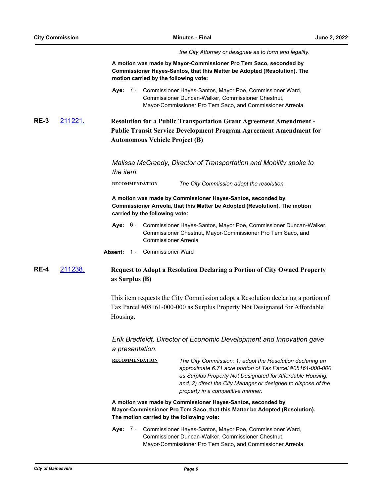*the City Attorney or designee as to form and legality.*

**A motion was made by Mayor-Commissioner Pro Tem Saco, seconded by Commissioner Hayes-Santos, that this Matter be Adopted (Resolution). The motion carried by the following vote:**

Aye: 7 - Commissioner Hayes-Santos, Mayor Poe, Commissioner Ward, Commissioner Duncan-Walker, Commissioner Chestnut, Mayor-Commissioner Pro Tem Saco, and Commissioner Arreola

## **RE-3** [211221.](http://gainesville.legistar.com/gateway.aspx?m=l&id=/matter.aspx?key=34003) **Resolution for a Public Transportation Grant Agreement Amendment - Public Transit Service Development Program Agreement Amendment for Autonomous Vehicle Project (B)**

*Malissa McCreedy, Director of Transportation and Mobility spoke to the item.*

**RECOMMENDATION** *The City Commission adopt the resolution.*

**A motion was made by Commissioner Hayes-Santos, seconded by Commissioner Arreola, that this Matter be Adopted (Resolution). The motion carried by the following vote:**

- **Aye:** Commissioner Hayes-Santos, Mayor Poe, Commissioner Duncan-Walker, Commissioner Chestnut, Mayor-Commissioner Pro Tem Saco, and Commissioner Arreola Aye: 6 -
- **Absent:** 1 Commissioner Ward

## **RE-4** [211238.](http://gainesville.legistar.com/gateway.aspx?m=l&id=/matter.aspx?key=34020) **Request to Adopt a Resolution Declaring a Portion of City Owned Property as Surplus (B)**

This item requests the City Commission adopt a Resolution declaring a portion of Tax Parcel #08161-000-000 as Surplus Property Not Designated for Affordable Housing.

*Erik Bredfeldt, Director of Economic Development and Innovation gave a presentation.*

| <b>RECOMMENDATION</b> | The City Commission: 1) adopt the Resolution declaring an     |
|-----------------------|---------------------------------------------------------------|
|                       | approximate 6.71 acre portion of Tax Parcel #08161-000-000    |
|                       | as Surplus Property Not Designated for Affordable Housing:    |
|                       | and, 2) direct the City Manager or designee to dispose of the |
|                       | property in a competitive manner.                             |
|                       |                                                               |

**A motion was made by Commissioner Hayes-Santos, seconded by Mayor-Commissioner Pro Tem Saco, that this Matter be Adopted (Resolution). The motion carried by the following vote:**

Aye: 7 - Commissioner Hayes-Santos, Mayor Poe, Commissioner Ward, Commissioner Duncan-Walker, Commissioner Chestnut, Mayor-Commissioner Pro Tem Saco, and Commissioner Arreola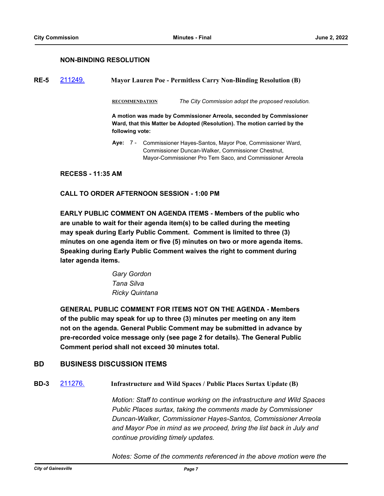### **NON-BINDING RESOLUTION**

**RE-5** [211249.](http://gainesville.legistar.com/gateway.aspx?m=l&id=/matter.aspx?key=34031) **Mayor Lauren Poe - Permitless Carry Non-Binding Resolution (B)**

**RECOMMENDATION** *The City Commission adopt the proposed resolution.*

**A motion was made by Commissioner Arreola, seconded by Commissioner Ward, that this Matter be Adopted (Resolution). The motion carried by the following vote:**

Aye: 7 - Commissioner Hayes-Santos, Mayor Poe, Commissioner Ward, Commissioner Duncan-Walker, Commissioner Chestnut, Mayor-Commissioner Pro Tem Saco, and Commissioner Arreola

**RECESS - 11:35 AM**

#### **CALL TO ORDER AFTERNOON SESSION - 1:00 PM**

**EARLY PUBLIC COMMENT ON AGENDA ITEMS - Members of the public who are unable to wait for their agenda item(s) to be called during the meeting may speak during Early Public Comment. Comment is limited to three (3) minutes on one agenda item or five (5) minutes on two or more agenda items. Speaking during Early Public Comment waives the right to comment during later agenda items.**

> *Gary Gordon Tana Silva Ricky Quintana*

**GENERAL PUBLIC COMMENT FOR ITEMS NOT ON THE AGENDA - Members of the public may speak for up to three (3) minutes per meeting on any item not on the agenda. General Public Comment may be submitted in advance by pre-recorded voice message only (see page 2 for details). The General Public Comment period shall not exceed 30 minutes total.**

## **BD BUSINESS DISCUSSION ITEMS**

**BD-3** [211276.](http://gainesville.legistar.com/gateway.aspx?m=l&id=/matter.aspx?key=34058) **Infrastructure and Wild Spaces / Public Places Surtax Update (B)**

*Motion: Staff to continue working on the infrastructure and Wild Spaces Public Places surtax, taking the comments made by Commissioner Duncan-Walker, Commissioner Hayes-Santos, Commissioner Arreola and Mayor Poe in mind as we proceed, bring the list back in July and continue providing timely updates.*

*Notes: Some of the comments referenced in the above motion were the*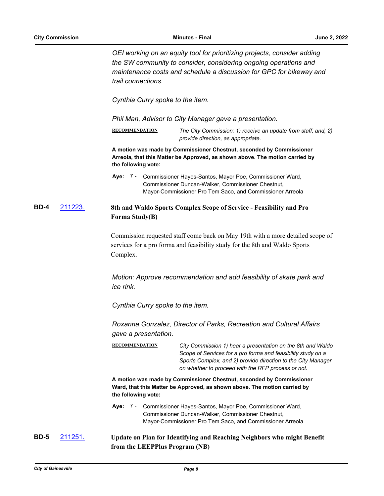*OEI working on an equity tool for prioritizing projects, consider adding the SW community to consider, considering ongoing operations and maintenance costs and schedule a discussion for GPC for bikeway and trail connections.*

*Cynthia Curry spoke to the item.*

*Phil Man, Advisor to City Manager gave a presentation.*

**RECOMMENDATION** *The City Commission: 1) receive an update from staff; and, 2) provide direction, as appropriate.*

**A motion was made by Commissioner Chestnut, seconded by Commissioner Arreola, that this Matter be Approved, as shown above. The motion carried by the following vote:**

## **BD-4** [211223.](http://gainesville.legistar.com/gateway.aspx?m=l&id=/matter.aspx?key=34005) **8th and Waldo Sports Complex Scope of Service - Feasibility and Pro Forma Study(B)**

Commission requested staff come back on May 19th with a more detailed scope of services for a pro forma and feasibility study for the 8th and Waldo Sports Complex.

*Motion: Approve recommendation and add feasibility of skate park and ice rink.*

*Cynthia Curry spoke to the item.*

*Roxanna Gonzalez, Director of Parks, Recreation and Cultural Affairs gave a presentation.*

**RECOMMENDATION** *City Commission 1) hear a presentation on the 8th and Waldo Scope of Services for a pro forma and feasibility study on a Sports Complex, and 2) provide direction to the City Manager on whether to proceed with the RFP process or not.*

**A motion was made by Commissioner Chestnut, seconded by Commissioner Ward, that this Matter be Approved, as shown above. The motion carried by the following vote:**

Aye: 7 - Commissioner Hayes-Santos, Mayor Poe, Commissioner Ward, Commissioner Duncan-Walker, Commissioner Chestnut, Mayor-Commissioner Pro Tem Saco, and Commissioner Arreola

**BD-5** [211251.](http://gainesville.legistar.com/gateway.aspx?m=l&id=/matter.aspx?key=34033) **Update on Plan for Identifying and Reaching Neighbors who might Benefit from the LEEPPlus Program (NB)**

Aye: 7 - Commissioner Hayes-Santos, Mayor Poe, Commissioner Ward, Commissioner Duncan-Walker, Commissioner Chestnut, Mayor-Commissioner Pro Tem Saco, and Commissioner Arreola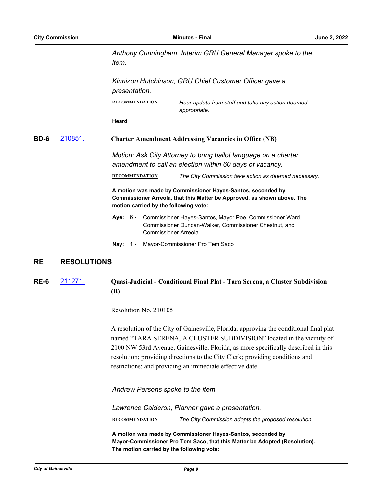*Anthony Cunningham, Interim GRU General Manager spoke to the item.*

*Kinnizon Hutchinson, GRU Chief Customer Officer gave a presentation.*

**RECOMMENDATION** *Hear update from staff and take any action deemed appropriate.*

**Heard**

#### **BD-6** [210851.](http://gainesville.legistar.com/gateway.aspx?m=l&id=/matter.aspx?key=33633) **Charter Amendment Addressing Vacancies in Office (NB)**

*Motion: Ask City Attorney to bring ballot language on a charter amendment to call an election within 60 days of vacancy.*

**RECOMMENDATION** *The City Commission take action as deemed necessary.*

**A motion was made by Commissioner Hayes-Santos, seconded by Commissioner Arreola, that this Matter be Approved, as shown above. The motion carried by the following vote:**

- Aye: 6 Commissioner Hayes-Santos, Mayor Poe, Commissioner Ward, Commissioner Duncan-Walker, Commissioner Chestnut, and Commissioner Arreola
- **Nay:** 1 Mayor-Commissioner Pro Tem Saco

## **RE RESOLUTIONS**

## **RE-6** [211271.](http://gainesville.legistar.com/gateway.aspx?m=l&id=/matter.aspx?key=34053) **Quasi-Judicial - Conditional Final Plat - Tara Serena, a Cluster Subdivision (B)**

Resolution No. 210105

A resolution of the City of Gainesville, Florida, approving the conditional final plat named "TARA SERENA, A CLUSTER SUBDIVISION" located in the vicinity of 2100 NW 53rd Avenue, Gainesville, Florida, as more specifically described in this resolution; providing directions to the City Clerk; providing conditions and restrictions; and providing an immediate effective date.

*Andrew Persons spoke to the item.*

*Lawrence Calderon, Planner gave a presentation.* **RECOMMENDATION** *The City Commission adopts the proposed resolution.*

**A motion was made by Commissioner Hayes-Santos, seconded by Mayor-Commissioner Pro Tem Saco, that this Matter be Adopted (Resolution). The motion carried by the following vote:**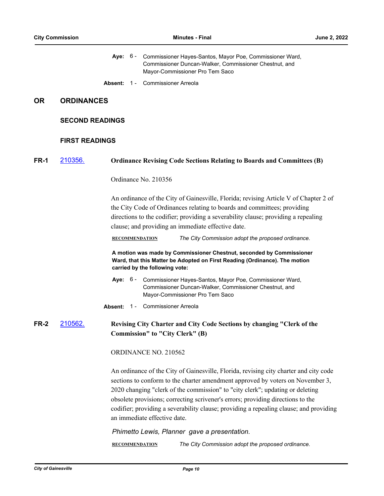|             |                        |                                                                                                                  |  | Aye: 6 - Commissioner Hayes-Santos, Mayor Poe, Commissioner Ward,<br>Commissioner Duncan-Walker, Commissioner Chestnut, and<br>Mayor-Commissioner Pro Tem Saco                                                                                                                                                                                                                                                                                                        |
|-------------|------------------------|------------------------------------------------------------------------------------------------------------------|--|-----------------------------------------------------------------------------------------------------------------------------------------------------------------------------------------------------------------------------------------------------------------------------------------------------------------------------------------------------------------------------------------------------------------------------------------------------------------------|
|             |                        | Absent: 1 -                                                                                                      |  | <b>Commissioner Arreola</b>                                                                                                                                                                                                                                                                                                                                                                                                                                           |
| <b>OR</b>   | <b>ORDINANCES</b>      |                                                                                                                  |  |                                                                                                                                                                                                                                                                                                                                                                                                                                                                       |
|             | <b>SECOND READINGS</b> |                                                                                                                  |  |                                                                                                                                                                                                                                                                                                                                                                                                                                                                       |
|             | <b>FIRST READINGS</b>  |                                                                                                                  |  |                                                                                                                                                                                                                                                                                                                                                                                                                                                                       |
| FR-1        | 210356.                |                                                                                                                  |  | <b>Ordinance Revising Code Sections Relating to Boards and Committees (B)</b>                                                                                                                                                                                                                                                                                                                                                                                         |
|             |                        |                                                                                                                  |  | Ordinance No. 210356                                                                                                                                                                                                                                                                                                                                                                                                                                                  |
|             |                        |                                                                                                                  |  | An ordinance of the City of Gainesville, Florida; revising Article V of Chapter 2 of<br>the City Code of Ordinances relating to boards and committees; providing<br>directions to the codifier; providing a severability clause; providing a repealing<br>clause; and providing an immediate effective date.                                                                                                                                                          |
|             |                        |                                                                                                                  |  | The City Commission adopt the proposed ordinance.<br><b>RECOMMENDATION</b>                                                                                                                                                                                                                                                                                                                                                                                            |
|             |                        |                                                                                                                  |  | A motion was made by Commissioner Chestnut, seconded by Commissioner<br>Ward, that this Matter be Adopted on First Reading (Ordinance). The motion<br>carried by the following vote:                                                                                                                                                                                                                                                                                  |
|             |                        |                                                                                                                  |  | Aye: 6 - Commissioner Hayes-Santos, Mayor Poe, Commissioner Ward,<br>Commissioner Duncan-Walker, Commissioner Chestnut, and<br>Mayor-Commissioner Pro Tem Saco                                                                                                                                                                                                                                                                                                        |
|             |                        |                                                                                                                  |  | Absent: 1 - Commissioner Arreola                                                                                                                                                                                                                                                                                                                                                                                                                                      |
| <b>FR-2</b> | 210562.                | Revising City Charter and City Code Sections by changing "Clerk of the<br><b>Commission"</b> to "City Clerk" (B) |  |                                                                                                                                                                                                                                                                                                                                                                                                                                                                       |
|             |                        |                                                                                                                  |  | ORDINANCE NO. 210562                                                                                                                                                                                                                                                                                                                                                                                                                                                  |
|             |                        |                                                                                                                  |  | An ordinance of the City of Gainesville, Florida, revising city charter and city code<br>sections to conform to the charter amendment approved by voters on November 3,<br>2020 changing "clerk of the commission" to "city clerk"; updating or deleting<br>obsolete provisions; correcting scrivener's errors; providing directions to the<br>codifier; providing a severability clause; providing a repealing clause; and providing<br>an immediate effective date. |
|             |                        |                                                                                                                  |  | Phimetto Lewis, Planner gave a presentation.                                                                                                                                                                                                                                                                                                                                                                                                                          |

**RECOMMENDATION** *The City Commission adopt the proposed ordinance.*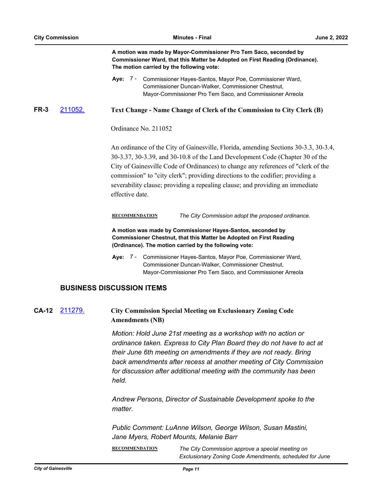| A motion was made by Mayor-Commissioner Pro Tem Saco, seconded by            |
|------------------------------------------------------------------------------|
| Commissioner Ward, that this Matter be Adopted on First Reading (Ordinance). |
| The motion carried by the following vote:                                    |

**FR-3** [211052.](http://gainesville.legistar.com/gateway.aspx?m=l&id=/matter.aspx?key=33834) **Text Change - Name Change of Clerk of the Commission to City Clerk (B)**

Ordinance No. 211052

An ordinance of the City of Gainesville, Florida, amending Sections 30-3.3, 30-3.4, 30-3.37, 30-3.39, and 30-10.8 of the Land Development Code (Chapter 30 of the City of Gainesville Code of Ordinances) to change any references of "clerk of the commission" to "city clerk"; providing directions to the codifier; providing a severability clause; providing a repealing clause; and providing an immediate effective date.

**RECOMMENDATION** *The City Commission adopt the proposed ordinance.*

**A motion was made by Commissioner Hayes-Santos, seconded by Commissioner Chestnut, that this Matter be Adopted on First Reading (Ordinance). The motion carried by the following vote:**

Aye: 7 - Commissioner Hayes-Santos, Mayor Poe, Commissioner Ward, Commissioner Duncan-Walker, Commissioner Chestnut, Mayor-Commissioner Pro Tem Saco, and Commissioner Arreola

#### **BUSINESS DISCUSSION ITEMS**

## **CA-12** [211279.](http://gainesville.legistar.com/gateway.aspx?m=l&id=/matter.aspx?key=34061) **City Commission Special Meeting on Exclusionary Zoning Code Amendments (NB)**

*Motion: Hold June 21st meeting as a workshop with no action or ordinance taken. Express to City Plan Board they do not have to act at their June 6th meeting on amendments if they are not ready. Bring back amendments after recess at another meeting of City Commission for discussion after additional meeting with the community has been held.* 

*Andrew Persons, Director of Sustainable Development spoke to the matter.*

*Public Comment: LuAnne Wilson, George Wilson, Susan Mastini, Jane Myers, Robert Mounts, Melanie Barr*

**RECOMMENDATION** *The City Commission approve a special meeting on Exclusionary Zoning Code Amendments, scheduled for June* 

**Aye:** Commissioner Hayes-Santos, Mayor Poe, Commissioner Ward, Commissioner Duncan-Walker, Commissioner Chestnut, Mayor-Commissioner Pro Tem Saco, and Commissioner Arreola Aye: 7 -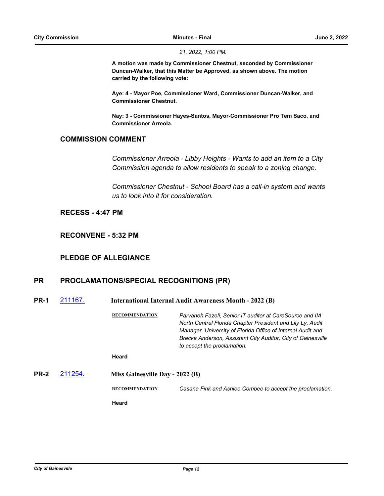*21, 2022, 1:00 PM.*

**A motion was made by Commissioner Chestnut, seconded by Commissioner Duncan-Walker, that this Matter be Approved, as shown above. The motion carried by the following vote:**

**Aye: 4 - Mayor Poe, Commissioner Ward, Commissioner Duncan-Walker, and Commissioner Chestnut.**

**Nay: 3 - Commissioner Hayes-Santos, Mayor-Commissioner Pro Tem Saco, and Commissioner Arreola.**

## **COMMISSION COMMENT**

*Commissioner Arreola - Libby Heights - Wants to add an item to a City Commission agenda to allow residents to speak to a zoning change.*

*Commissioner Chestnut - School Board has a call-in system and wants us to look into it for consideration.*

## **RECESS - 4:47 PM**

**RECONVENE - 5:32 PM**

## **PLEDGE OF ALLEGIANCE**

## **PR PROCLAMATIONS/SPECIAL RECOGNITIONS (PR)**

| <b>PR-1</b> | 211167. | <b>International Internal Audit Awareness Month - 2022 (B)</b> |                                                                                                                                                                                                                                                                                      |
|-------------|---------|----------------------------------------------------------------|--------------------------------------------------------------------------------------------------------------------------------------------------------------------------------------------------------------------------------------------------------------------------------------|
|             |         | <b>RECOMMENDATION</b>                                          | Parvaneh Fazeli. Senior IT auditor at CareSource and IIA<br>North Central Florida Chapter President and Lily Ly, Audit<br>Manager, University of Florida Office of Internal Audit and<br>Brecka Anderson, Assistant City Auditor, City of Gainesville<br>to accept the proclamation. |
|             |         | Heard                                                          |                                                                                                                                                                                                                                                                                      |
| <b>PR-2</b> | 211254. | Miss Gainesville Day - 2022 (B)                                |                                                                                                                                                                                                                                                                                      |
|             |         | <b>RECOMMENDATION</b>                                          | Casana Fink and Ashlee Combee to accept the proclamation.                                                                                                                                                                                                                            |
|             |         | Heard                                                          |                                                                                                                                                                                                                                                                                      |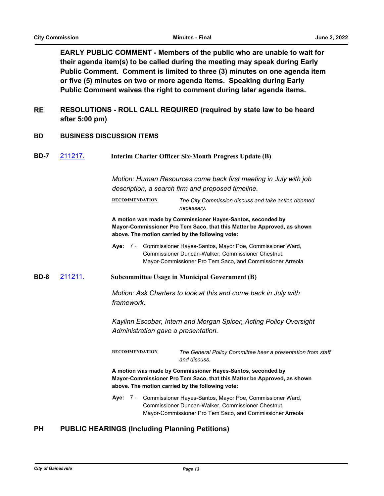**EARLY PUBLIC COMMENT - Members of the public who are unable to wait for their agenda item(s) to be called during the meeting may speak during Early Public Comment. Comment is limited to three (3) minutes on one agenda item or five (5) minutes on two or more agenda items. Speaking during Early Public Comment waives the right to comment during later agenda items.**

- **RESOLUTIONS ROLL CALL REQUIRED (required by state law to be heard after 5:00 pm) RE**
- **BD BUSINESS DISCUSSION ITEMS**
- **BD-7** [211217.](http://gainesville.legistar.com/gateway.aspx?m=l&id=/matter.aspx?key=33999) **Interim Charter Officer Six-Month Progress Update (B)**

*Motion: Human Resources come back first meeting in July with job description, a search firm and proposed timeline.*

**RECOMMENDATION** *The City Commission discuss and take action deemed necessary.*

**A motion was made by Commissioner Hayes-Santos, seconded by Mayor-Commissioner Pro Tem Saco, that this Matter be Approved, as shown above. The motion carried by the following vote:**

- Aye: 7 Commissioner Hayes-Santos, Mayor Poe, Commissioner Ward, Commissioner Duncan-Walker, Commissioner Chestnut, Mayor-Commissioner Pro Tem Saco, and Commissioner Arreola
- **BD-8** [211211.](http://gainesville.legistar.com/gateway.aspx?m=l&id=/matter.aspx?key=33993) **Subcommittee Usage in Municipal Government (B)**

*Motion: Ask Charters to look at this and come back in July with framework.*

*Kaylinn Escobar, Intern and Morgan Spicer, Acting Policy Oversight Administration gave a presentation.*

**RECOMMENDATION** *The General Policy Committee hear a presentation from staff and discuss.*

**A motion was made by Commissioner Hayes-Santos, seconded by Mayor-Commissioner Pro Tem Saco, that this Matter be Approved, as shown above. The motion carried by the following vote:**

Aye: 7 - Commissioner Hayes-Santos, Mayor Poe, Commissioner Ward, Commissioner Duncan-Walker, Commissioner Chestnut, Mayor-Commissioner Pro Tem Saco, and Commissioner Arreola

## **PH PUBLIC HEARINGS (Including Planning Petitions)**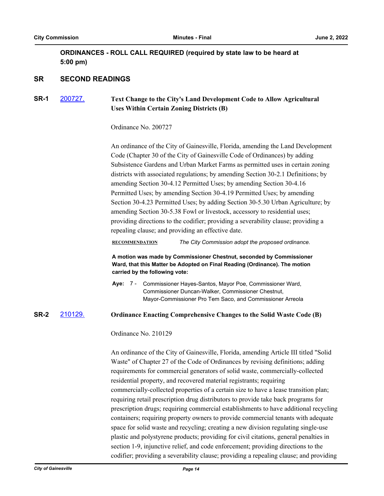## **ORDINANCES - ROLL CALL REQUIRED (required by state law to be heard at 5:00 pm)**

## **SR SECOND READINGS**

## **SR-1** [200727.](http://gainesville.legistar.com/gateway.aspx?m=l&id=/matter.aspx?key=32270) **Text Change to the City's Land Development Code to Allow Agricultural Uses Within Certain Zoning Districts (B)**

Ordinance No. 200727

An ordinance of the City of Gainesville, Florida, amending the Land Development Code (Chapter 30 of the City of Gainesville Code of Ordinances) by adding Subsistence Gardens and Urban Market Farms as permitted uses in certain zoning districts with associated regulations; by amending Section 30-2.1 Definitions; by amending Section 30-4.12 Permitted Uses; by amending Section 30-4.16 Permitted Uses; by amending Section 30-4.19 Permitted Uses; by amending Section 30-4.23 Permitted Uses; by adding Section 30-5.30 Urban Agriculture; by amending Section 30-5.38 Fowl or livestock, accessory to residential uses; providing directions to the codifier; providing a severability clause; providing a repealing clause; and providing an effective date.

#### **RECOMMENDATION** *The City Commission adopt the proposed ordinance.*

**A motion was made by Commissioner Chestnut, seconded by Commissioner Ward, that this Matter be Adopted on Final Reading (Ordinance). The motion carried by the following vote:**

Aye: 7 - Commissioner Hayes-Santos, Mayor Poe, Commissioner Ward, Commissioner Duncan-Walker, Commissioner Chestnut, Mayor-Commissioner Pro Tem Saco, and Commissioner Arreola

## **SR-2** [210129.](http://gainesville.legistar.com/gateway.aspx?m=l&id=/matter.aspx?key=32913) **Ordinance Enacting Comprehensive Changes to the Solid Waste Code (B)**

Ordinance No. 210129

An ordinance of the City of Gainesville, Florida, amending Article III titled "Solid Waste" of Chapter 27 of the Code of Ordinances by revising definitions; adding requirements for commercial generators of solid waste, commercially-collected residential property, and recovered material registrants; requiring commercially-collected properties of a certain size to have a lease transition plan; requiring retail prescription drug distributors to provide take back programs for prescription drugs; requiring commercial establishments to have additional recycling containers; requiring property owners to provide commercial tenants with adequate space for solid waste and recycling; creating a new division regulating single-use plastic and polystyrene products; providing for civil citations, general penalties in section 1-9, injunctive relief, and code enforcement; providing directions to the codifier; providing a severability clause; providing a repealing clause; and providing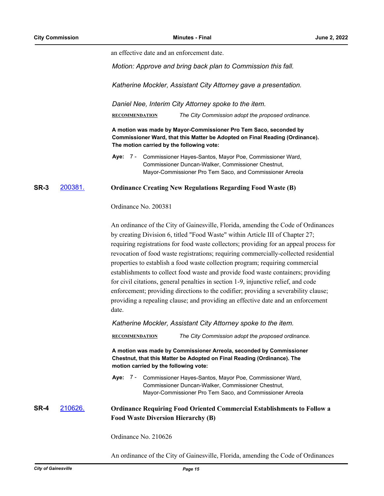an effective date and an enforcement date.

*Motion: Approve and bring back plan to Commission this fall.*

*Katherine Mockler, Assistant City Attorney gave a presentation.*

*Daniel Nee, Interim City Attorney spoke to the item.*

**RECOMMENDATION** *The City Commission adopt the proposed ordinance.*

**A motion was made by Mayor-Commissioner Pro Tem Saco, seconded by Commissioner Ward, that this Matter be Adopted on Final Reading (Ordinance). The motion carried by the following vote:**

#### **SR-3** [200381.](http://gainesville.legistar.com/gateway.aspx?m=l&id=/matter.aspx?key=31924) **Ordinance Creating New Regulations Regarding Food Waste (B)**

Ordinance No. 200381

An ordinance of the City of Gainesville, Florida, amending the Code of Ordinances by creating Division 6, titled "Food Waste" within Article III of Chapter 27; requiring registrations for food waste collectors; providing for an appeal process for revocation of food waste registrations; requiring commercially-collected residential properties to establish a food waste collection program; requiring commercial establishments to collect food waste and provide food waste containers; providing for civil citations, general penalties in section 1-9, injunctive relief, and code enforcement; providing directions to the codifier; providing a severability clause; providing a repealing clause; and providing an effective date and an enforcement date.

*Katherine Mockler, Assistant City Attorney spoke to the item.*

**RECOMMENDATION** *The City Commission adopt the proposed ordinance.*

**A motion was made by Commissioner Arreola, seconded by Commissioner Chestnut, that this Matter be Adopted on Final Reading (Ordinance). The motion carried by the following vote:**

Aye: 7 - Commissioner Hayes-Santos, Mayor Poe, Commissioner Ward, Commissioner Duncan-Walker, Commissioner Chestnut, Mayor-Commissioner Pro Tem Saco, and Commissioner Arreola

## **SR-4** [210626.](http://gainesville.legistar.com/gateway.aspx?m=l&id=/matter.aspx?key=33408) **Ordinance Requiring Food Oriented Commercial Establishments to Follow a Food Waste Diversion Hierarchy (B)**

Ordinance No. 210626

An ordinance of the City of Gainesville, Florida, amending the Code of Ordinances

**Aye:** Commissioner Hayes-Santos, Mayor Poe, Commissioner Ward, Commissioner Duncan-Walker, Commissioner Chestnut, Mayor-Commissioner Pro Tem Saco, and Commissioner Arreola Aye: 7 -